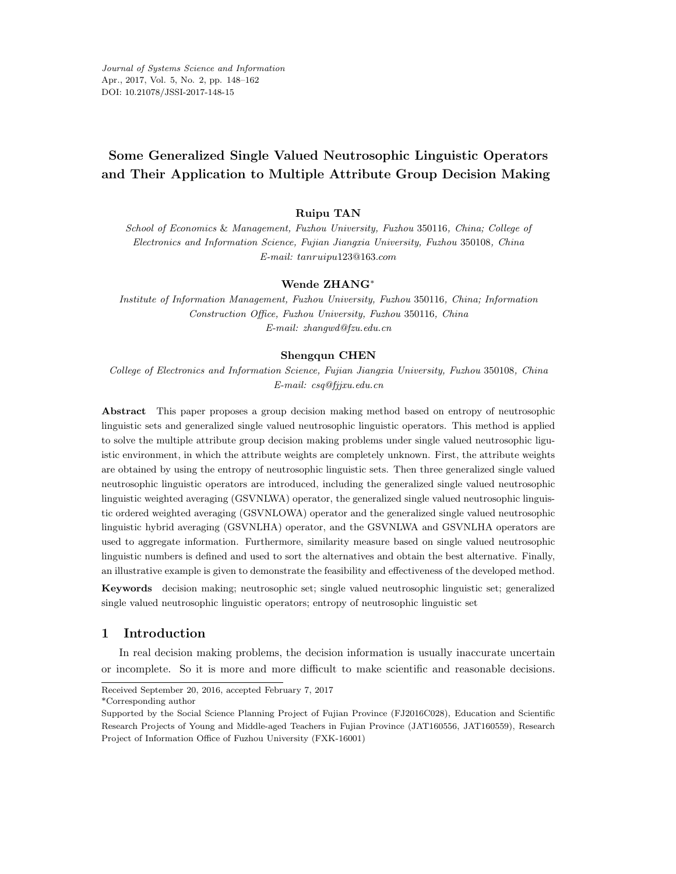*Journal of Systems Science and Information* Apr., 2017, Vol. 5, No. 2, pp. 148–162 DOI: 10.21078/JSSI-2017-148-15

# **Some Generalized Single Valued Neutrosophic Linguistic Operators and Their Application to Multiple Attribute Group Decision Making**

## **Ruipu TAN**

School of Economics & Management, Fuzhou University, Fuzhou 350116, China; College of Electronics and Information Science, Fujian Jiangxia University, Fuzhou 350108, China E-mail: *tanruipu*123@163*.com*

#### **Wende ZHANG**∗

Institute of Information Management, Fuzhou University, Fuzhou 350116, China; Information Construction Office, Fuzhou University, Fuzhou 350116, China E-mail: zhangwd@fzu.edu.cn

#### **Shengqun CHEN**

College of Electronics and Information Science, Fujian Jiangxia University, Fuzhou 350108, China E-mail: csq@fjjxu.edu.cn

**Abstract** This paper proposes a group decision making method based on entropy of neutrosophic linguistic sets and generalized single valued neutrosophic linguistic operators. This method is applied to solve the multiple attribute group decision making problems under single valued neutrosophic liguistic environment, in which the attribute weights are completely unknown. First, the attribute weights are obtained by using the entropy of neutrosophic linguistic sets. Then three generalized single valued neutrosophic linguistic operators are introduced, including the generalized single valued neutrosophic linguistic weighted averaging (GSVNLWA) operator, the generalized single valued neutrosophic linguistic ordered weighted averaging (GSVNLOWA) operator and the generalized single valued neutrosophic linguistic hybrid averaging (GSVNLHA) operator, and the GSVNLWA and GSVNLHA operators are used to aggregate information. Furthermore, similarity measure based on single valued neutrosophic linguistic numbers is defined and used to sort the alternatives and obtain the best alternative. Finally, an illustrative example is given to demonstrate the feasibility and effectiveness of the developed method.

**Keywords** decision making; neutrosophic set; single valued neutrosophic linguistic set; generalized single valued neutrosophic linguistic operators; entropy of neutrosophic linguistic set

# **1 Introduction**

In real decision making problems, the decision information is usually inaccurate uncertain or incomplete. So it is more and more difficult to make scientific and reasonable decisions.

\*Corresponding author

Received September 20, 2016, accepted February 7, 2017

Supported by the Social Science Planning Project of Fujian Province (FJ2016C028), Education and Scientific Research Projects of Young and Middle-aged Teachers in Fujian Province (JAT160556, JAT160559), Research Project of Information Office of Fuzhou University (FXK-16001)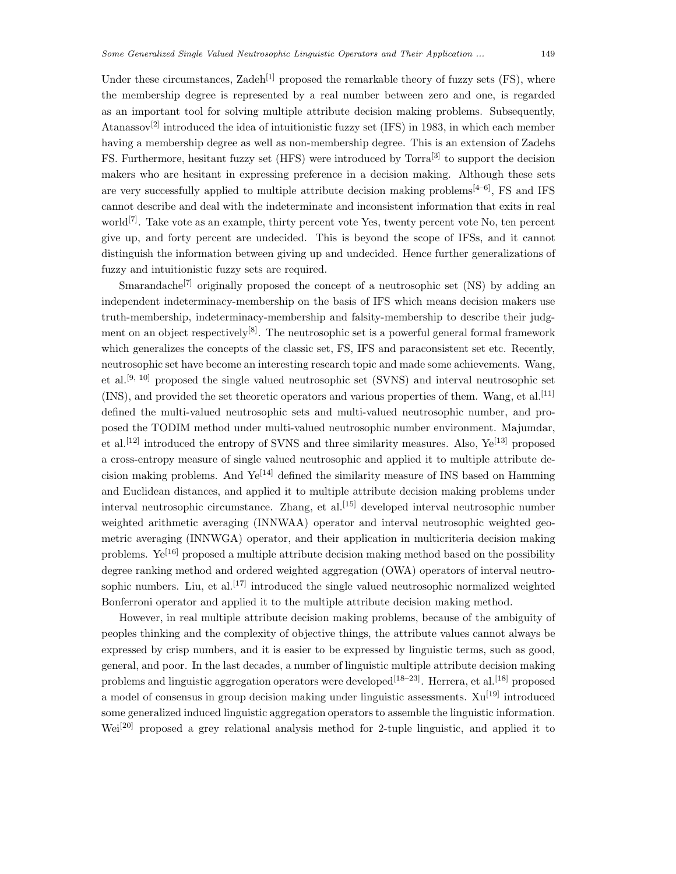Under these circumstances, Zadeh<sup>[1]</sup> proposed the remarkable theory of fuzzy sets (FS), where the membership degree is represented by a real number between zero and one, is regarded as an important tool for solving multiple attribute decision making problems. Subsequently, Atanassov<sup>[2]</sup> introduced the idea of intuitionistic fuzzy set (IFS) in 1983, in which each member having a membership degree as well as non-membership degree. This is an extension of Zadehs FS. Furthermore, hesitant fuzzy set (HFS) were introduced by Torra<sup>[3]</sup> to support the decision makers who are hesitant in expressing preference in a decision making. Although these sets are very successfully applied to multiple attribute decision making problems<sup>[4–6]</sup>, FS and IFS cannot describe and deal with the indeterminate and inconsistent information that exits in real world<sup>[7]</sup>. Take vote as an example, thirty percent vote Yes, twenty percent vote No, ten percent give up, and forty percent are undecided. This is beyond the scope of IFSs, and it cannot distinguish the information between giving up and undecided. Hence further generalizations of fuzzy and intuitionistic fuzzy sets are required.

Smarandache<sup>[7]</sup> originally proposed the concept of a neutrosophic set  $(NS)$  by adding an independent indeterminacy-membership on the basis of IFS which means decision makers use truth-membership, indeterminacy-membership and falsity-membership to describe their judgment on an object respectively<sup>[8]</sup>. The neutrosophic set is a powerful general formal framework which generalizes the concepts of the classic set, FS, IFS and paraconsistent set etc. Recently, neutrosophic set have become an interesting research topic and made some achievements. Wang, et al.[9, 10] proposed the single valued neutrosophic set (SVNS) and interval neutrosophic set (INS), and provided the set theoretic operators and various properties of them. Wang, et al.[11] defined the multi-valued neutrosophic sets and multi-valued neutrosophic number, and proposed the TODIM method under multi-valued neutrosophic number environment. Majumdar, et al.<sup>[12]</sup> introduced the entropy of SVNS and three similarity measures. Also,  $Ye^{[13]}$  proposed a cross-entropy measure of single valued neutrosophic and applied it to multiple attribute decision making problems. And  $Ye^{[14]}$  defined the similarity measure of INS based on Hamming and Euclidean distances, and applied it to multiple attribute decision making problems under interval neutrosophic circumstance. Zhang, et al.<sup>[15]</sup> developed interval neutrosophic number weighted arithmetic averaging (INNWAA) operator and interval neutrosophic weighted geometric averaging (INNWGA) operator, and their application in multicriteria decision making problems.  $Ye^{[16]}$  proposed a multiple attribute decision making method based on the possibility degree ranking method and ordered weighted aggregation (OWA) operators of interval neutrosophic numbers. Liu, et al.<sup>[17]</sup> introduced the single valued neutrosophic normalized weighted Bonferroni operator and applied it to the multiple attribute decision making method.

However, in real multiple attribute decision making problems, because of the ambiguity of peoples thinking and the complexity of objective things, the attribute values cannot always be expressed by crisp numbers, and it is easier to be expressed by linguistic terms, such as good, general, and poor. In the last decades, a number of linguistic multiple attribute decision making problems and linguistic aggregation operators were developed<sup>[18–23]</sup>. Herrera, et al.<sup>[18]</sup> proposed a model of consensus in group decision making under linguistic assessments.  $Xu^{[19]}$  introduced some generalized induced linguistic aggregation operators to assemble the linguistic information. Wei[20] proposed a grey relational analysis method for 2-tuple linguistic, and applied it to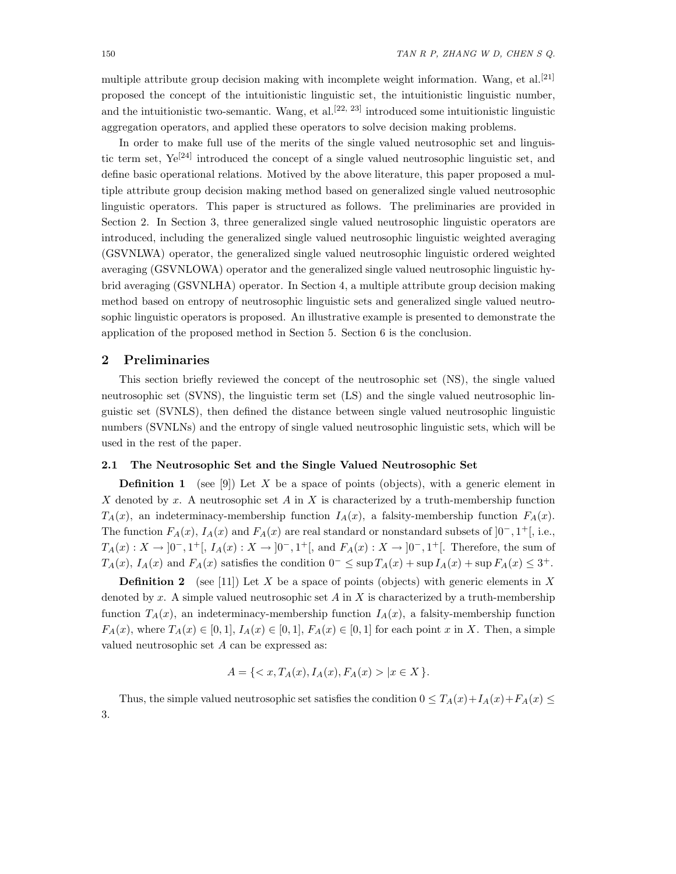multiple attribute group decision making with incomplete weight information. Wang, et al.<sup>[21]</sup> proposed the concept of the intuitionistic linguistic set, the intuitionistic linguistic number, and the intuitionistic two-semantic. Wang, et al.<sup>[22, 23]</sup> introduced some intuitionistic linguistic aggregation operators, and applied these operators to solve decision making problems.

In order to make full use of the merits of the single valued neutrosophic set and linguistic term set,  $Ye^{[24]}$  introduced the concept of a single valued neutrosophic linguistic set, and define basic operational relations. Motived by the above literature, this paper proposed a multiple attribute group decision making method based on generalized single valued neutrosophic linguistic operators. This paper is structured as follows. The preliminaries are provided in Section 2. In Section 3, three generalized single valued neutrosophic linguistic operators are introduced, including the generalized single valued neutrosophic linguistic weighted averaging (GSVNLWA) operator, the generalized single valued neutrosophic linguistic ordered weighted averaging (GSVNLOWA) operator and the generalized single valued neutrosophic linguistic hybrid averaging (GSVNLHA) operator. In Section 4, a multiple attribute group decision making method based on entropy of neutrosophic linguistic sets and generalized single valued neutrosophic linguistic operators is proposed. An illustrative example is presented to demonstrate the application of the proposed method in Section 5. Section 6 is the conclusion.

# **2 Preliminaries**

This section briefly reviewed the concept of the neutrosophic set (NS), the single valued neutrosophic set (SVNS), the linguistic term set (LS) and the single valued neutrosophic linguistic set (SVNLS), then defined the distance between single valued neutrosophic linguistic numbers (SVNLNs) and the entropy of single valued neutrosophic linguistic sets, which will be used in the rest of the paper.

### **2.1 The Neutrosophic Set and the Single Valued Neutrosophic Set**

**Definition 1** (see [9]) Let X be a space of points (objects), with a generic element in X denoted by x. A neutrosophic set A in X is characterized by a truth-membership function  $T_A(x)$ , an indeterminacy-membership function  $I_A(x)$ , a falsity-membership function  $F_A(x)$ . The function  $F_A(x)$ ,  $I_A(x)$  and  $F_A(x)$  are real standard or nonstandard subsets of  $]0^-, 1^+[$ , i.e.,  $T_A(x): X \to [0^-, 1^+]$ ,  $I_A(x): X \to [0^-, 1^+]$ , and  $F_A(x): X \to [0^-, 1^+]$ . Therefore, the sum of  $T_A(x)$ ,  $I_A(x)$  and  $F_A(x)$  satisfies the condition  $0^- \leq \sup T_A(x) + \sup I_A(x) + \sup F_A(x) \leq 3^+$ .

**Definition 2** (see [11]) Let X be a space of points (objects) with generic elements in X denoted by x. A simple valued neutrosophic set A in X is characterized by a truth-membership function  $T_A(x)$ , an indeterminacy-membership function  $I_A(x)$ , a falsity-membership function  $F_A(x)$ , where  $T_A(x) \in [0,1], I_A(x) \in [0,1], F_A(x) \in [0,1]$  for each point x in X. Then, a simple valued neutrosophic set  $A$  can be expressed as:

$$
A = \{ \langle x, T_A(x), I_A(x), F_A(x) \rangle \mid x \in X \}.
$$

Thus, the simple valued neutrosophic set satisfies the condition  $0 \leq T_A(x) + I_A(x) + F_A(x) \leq$ 3.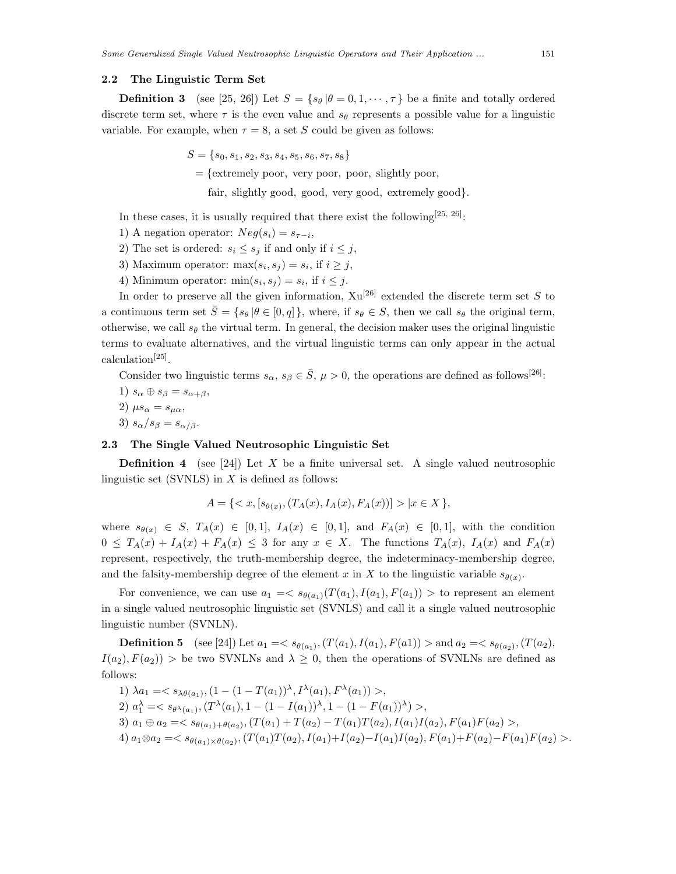#### **2.2 The Linguistic Term Set**

**Definition 3** (see [25, 26]) Let  $S = \{s_\theta | \theta = 0, 1, \dots, \tau\}$  be a finite and totally ordered discrete term set, where  $\tau$  is the even value and  $s_{\theta}$  represents a possible value for a linguistic variable. For example, when  $\tau = 8$ , a set S could be given as follows:

 $S = \{s_0, s_1, s_2, s_3, s_4, s_5, s_6, s_7, s_8\}$ 

 $=$  {extremely poor, very poor, poor, slightly poor,

fair, slightly good, good, very good, extremely good}.

- In these cases, it is usually required that there exist the following<sup>[25, 26]</sup>:
- 1) A negation operator:  $Neg(s_i) = s_{\tau-i}$ ,
- 2) The set is ordered:  $s_i \leq s_j$  if and only if  $i \leq j$ ,
- 3) Maximum operator:  $\max(s_i, s_j) = s_i$ , if  $i \geq j$ ,
- 4) Minimum operator:  $\min(s_i, s_j) = s_i$ , if  $i \leq j$ .

In order to preserve all the given information,  $Xu^{[26]}$  extended the discrete term set S to a continuous term set  $\bar{S} = \{s_\theta | \theta \in [0, q] \}$ , where, if  $s_\theta \in S$ , then we call  $s_\theta$  the original term, otherwise, we call  $s_{\theta}$  the virtual term. In general, the decision maker uses the original linguistic terms to evaluate alternatives, and the virtual linguistic terms can only appear in the actual calculation[25].

Consider two linguistic terms  $s_{\alpha}, s_{\beta} \in \overline{S}$ ,  $\mu > 0$ , the operations are defined as follows<sup>[26]</sup>:

1)  $s_{\alpha} \oplus s_{\beta} = s_{\alpha+\beta},$ 2)  $\mu s_{\alpha} = s_{\mu \alpha}$ , 3)  $s_{\alpha}/s_{\beta} = s_{\alpha/\beta}$ .

#### **2.3 The Single Valued Neutrosophic Linguistic Set**

**Definition 4** (see [24]) Let X be a finite universal set. A single valued neutrosophic linguistic set (SVNLS) in  $X$  is defined as follows:

$$
A = \{ \langle x, [s_{\theta(x)}, (T_A(x), I_A(x), F_A(x))] \rangle \mid x \in X \},\
$$

where  $s_{\theta(x)} \in S$ ,  $T_A(x) \in [0,1]$ ,  $I_A(x) \in [0,1]$ , and  $F_A(x) \in [0,1]$ , with the condition  $0 \leq T_A(x) + I_A(x) + F_A(x) \leq 3$  for any  $x \in X$ . The functions  $T_A(x)$ ,  $I_A(x)$  and  $F_A(x)$ represent, respectively, the truth-membership degree, the indeterminacy-membership degree, and the falsity-membership degree of the element x in X to the linguistic variable  $s_{\theta(x)}$ .

For convenience, we can use  $a_1 = \langle s_{\theta(a_1)}(T(a_1), I(a_1), F(a_1)) \rangle$  to represent an element in a single valued neutrosophic linguistic set (SVNLS) and call it a single valued neutrosophic linguistic number (SVNLN).

**Definition 5** (see [24]) Let  $a_1 = \langle s_{\theta(a_1)},(T(a_1), I(a_1), F(a_1)) \rangle$  and  $a_2 = \langle s_{\theta(a_2)},(T(a_2),$  $I(a_2), F(a_2)$  > be two SVNLNs and  $\lambda \geq 0$ , then the operations of SVNLNs are defined as follows:

1)  $\lambda a_1 = \langle s_{\lambda \theta(a_1)}, (1 - (1 - T(a_1))^{\lambda}, I^{\lambda}(a_1), F^{\lambda}(a_1)) \rangle,$ 2)  $a_1^{\lambda} = \langle s_{\theta^{\lambda}(a_1)}, (T^{\lambda}(a_1), 1 - (1 - I(a_1))^{\lambda}, 1 - (1 - F(a_1))^{\lambda}) \rangle,$ 3)  $a_1 \oplus a_2 = \langle s_{\theta(a_1) + \theta(a_2)}, (T(a_1) + T(a_2) - T(a_1)T(a_2), I(a_1)I(a_2), F(a_1)F(a_2) \rangle$ 4)  $a_1 \otimes a_2 = \langle s_{\theta(a_1) \times \theta(a_2)}, (T(a_1)T(a_2), I(a_1) + I(a_2) - I(a_1)I(a_2), F(a_1) + F(a_2) - F(a_1)F(a_2) \rangle.$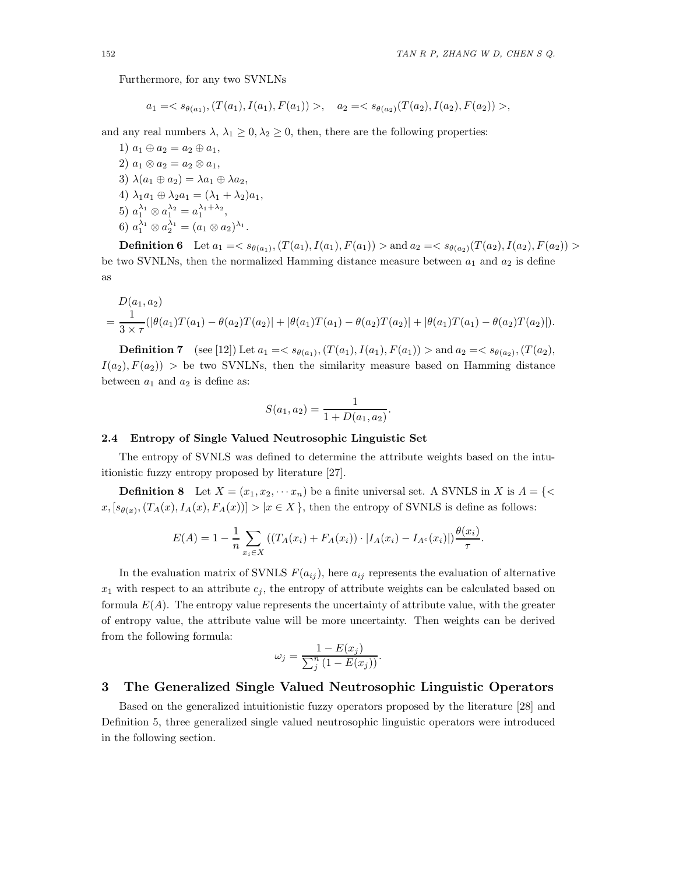Furthermore, for any two SVNLNs

$$
a_1 = \langle s_{\theta(a_1)}, (T(a_1), I(a_1), F(a_1)) \rangle, \quad a_2 = \langle s_{\theta(a_2)}(T(a_2), I(a_2), F(a_2)) \rangle,
$$

and any real numbers  $\lambda$ ,  $\lambda_1 \geq 0$ ,  $\lambda_2 \geq 0$ , then, there are the following properties:

1)  $a_1 \oplus a_2 = a_2 \oplus a_1$ , 2)  $a_1 \otimes a_2 = a_2 \otimes a_1$ , 3)  $\lambda(a_1 \oplus a_2) = \lambda a_1 \oplus \lambda a_2$ 4)  $\lambda_1a_1 \oplus \lambda_2a_1 = (\lambda_1 + \lambda_2)a_1$ , 5)  $a_1^{\lambda_1} \otimes a_1^{\lambda_2} = a_1^{\lambda_1 + \lambda_2},$ 6)  $a_1^{\lambda_1} \otimes a_2^{\lambda_1} = (a_1 \otimes a_2)^{\lambda_1}.$ 

**Definition 6** Let  $a_1 = \langle s_{\theta(a_1)}, (T(a_1), I(a_1), F(a_1)) \rangle$  and  $a_2 = \langle s_{\theta(a_2)} (T(a_2), I(a_2), F(a_2)) \rangle$ be two SVNLNs, then the normalized Hamming distance measure between  $a_1$  and  $a_2$  is define as

$$
D(a_1, a_2)
$$
  
=  $\frac{1}{3 \times \tau}(|\theta(a_1)T(a_1) - \theta(a_2)T(a_2)| + |\theta(a_1)T(a_1) - \theta(a_2)T(a_2)| + |\theta(a_1)T(a_1) - \theta(a_2)T(a_2)|$ .

**Definition 7** (see [12]) Let  $a_1 = \langle s_{\theta(a_1)}, (T(a_1), I(a_1), F(a_1)) \rangle$  and  $a_2 = \langle s_{\theta(a_2)}, (T(a_2),$  $I(a_2), F(a_2)$  > be two SVNLNs, then the similarity measure based on Hamming distance between  $a_1$  and  $a_2$  is define as:

$$
S(a_1, a_2) = \frac{1}{1 + D(a_1, a_2)}.
$$

### **2.4 Entropy of Single Valued Neutrosophic Linguistic Set**

The entropy of SVNLS was defined to determine the attribute weights based on the intuitionistic fuzzy entropy proposed by literature [27].

**Definition 8** Let  $X = (x_1, x_2, \dots, x_n)$  be a finite universal set. A SVNLS in X is  $A = \{ \leq \}$  $x, [s_{\theta(x)},(T_A(x), I_A(x), F_A(x))] > |x \in X\},\$  then the entropy of SVNLS is define as follows:

$$
E(A) = 1 - \frac{1}{n} \sum_{x_i \in X} \left( \left( T_A(x_i) + F_A(x_i) \right) \cdot \left| I_A(x_i) - I_{A^c}(x_i) \right| \right) \frac{\theta(x_i)}{\tau}.
$$

In the evaluation matrix of SVNLS  $F(a_{ij})$ , here  $a_{ij}$  represents the evaluation of alternative  $x_1$  with respect to an attribute  $c_i$ , the entropy of attribute weights can be calculated based on formula  $E(A)$ . The entropy value represents the uncertainty of attribute value, with the greater of entropy value, the attribute value will be more uncertainty. Then weights can be derived from the following formula:

$$
\omega_j = \frac{1 - E(x_j)}{\sum_j^n (1 - E(x_j))}.
$$

## **3 The Generalized Single Valued Neutrosophic Linguistic Operators**

Based on the generalized intuitionistic fuzzy operators proposed by the literature [28] and Definition 5, three generalized single valued neutrosophic linguistic operators were introduced in the following section.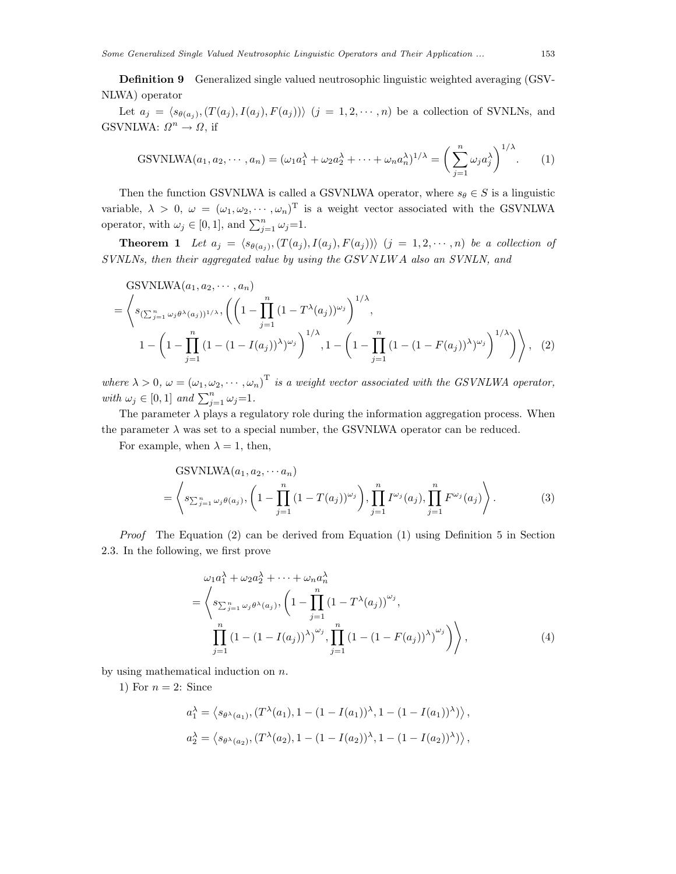**Definition 9** Generalized single valued neutrosophic linguistic weighted averaging (GSV-NLWA) operator

Let  $a_j = \langle s_{\theta(a_i)},(T(a_j), I(a_j), F(a_j)) \rangle$   $(j = 1, 2, \dots, n)$  be a collection of SVNLNs, and GSVNLWA:  $\Omega^n \to \Omega$ , if

GSVNLWA
$$
(a_1, a_2, \dots, a_n) = (\omega_1 a_1^{\lambda} + \omega_2 a_2^{\lambda} + \dots + \omega_n a_n^{\lambda})^{1/\lambda} = \left(\sum_{j=1}^n \omega_j a_j^{\lambda}\right)^{1/\lambda}.
$$
 (1)

Then the function GSVNLWA is called a GSVNLWA operator, where  $s_{\theta} \in S$  is a linguistic variable,  $\lambda > 0$ ,  $\omega = (\omega_1, \omega_2, \cdots, \omega_n)^T$  is a weight vector associated with the GSVNLWA operator, with  $\omega_j \in [0,1]$ , and  $\sum_{j=1}^n \omega_j = 1$ .

**Theorem 1** Let  $a_j = \langle s_{\theta(a_j)}, (T(a_j), I(a_j), F(a_j)) \rangle$   $(j = 1, 2, \dots, n)$  be a collection of *SVNLNs, then their aggregated value by using the* GSV NLW A *also an SVNLN, and*

GSVNLWA
$$
(a_1, a_2, \dots, a_n)
$$
  
\n
$$
= \left\langle s_{\left(\sum_{j=1}^n \omega_j \theta^{\lambda}(a_j)\right)^{1/\lambda}}, \left( \left(1 - \prod_{j=1}^n (1 - T^{\lambda}(a_j))^{\omega_j}\right)^{1/\lambda}, \right.\right.
$$
\n
$$
1 - \left(1 - \prod_{j=1}^n (1 - (1 - I(a_j))^{\lambda})^{\omega_j}\right)^{1/\lambda}, 1 - \left(1 - \prod_{j=1}^n (1 - (1 - F(a_j))^{\lambda})^{\omega_j}\right)^{1/\lambda}\right), \quad (2)
$$

where  $\lambda > 0$ ,  $\omega = (\omega_1, \omega_2, \cdots, \omega_n)^T$  *is a weight vector associated with the GSVNLWA operator*, *with*  $\omega_j \in [0,1]$  *and*  $\sum_{j=1}^n \omega_j = 1$ *.* 

The parameter  $\lambda$  plays a regulatory role during the information aggregation process. When the parameter  $\lambda$  was set to a special number, the GSVNLWA operator can be reduced.

For example, when  $\lambda = 1$ , then,

$$
GSVNLWA(a_1, a_2, \cdots a_n)
$$
  
=  $\left\langle s_{\sum_{j=1}^n \omega_j \theta(a_j)}, \left(1 - \prod_{j=1}^n (1 - T(a_j))^{\omega_j}\right), \prod_{j=1}^n I^{\omega_j}(a_j), \prod_{j=1}^n F^{\omega_j}(a_j)\right\rangle.$  (3)

*Proof* The Equation (2) can be derived from Equation (1) using Definition 5 in Section 2.3. In the following, we first prove

$$
\omega_1 a_1^{\lambda} + \omega_2 a_2^{\lambda} + \dots + \omega_n a_n^{\lambda}
$$
  
=  $\left\langle s_{\sum_{j=1}^n \omega_j \theta^{\lambda}(a_j)}, \left(1 - \prod_{j=1}^n (1 - T^{\lambda}(a_j))^{\omega_j}, \prod_{j=1}^n (1 - (1 - I(a_j))^{\lambda})^{\omega_j}\right)\right\rangle,$  (4)

by using mathematical induction on  $n$ .

1) For  $n = 2$ : Since

$$
a_1^{\lambda} = \langle s_{\theta^{\lambda}(a_1)}, (T^{\lambda}(a_1), 1 - (1 - I(a_1))^{\lambda}, 1 - (1 - I(a_1))^{\lambda}) \rangle,
$$
  

$$
a_2^{\lambda} = \langle s_{\theta^{\lambda}(a_2)}, (T^{\lambda}(a_2), 1 - (1 - I(a_2))^{\lambda}, 1 - (1 - I(a_2))^{\lambda}) \rangle,
$$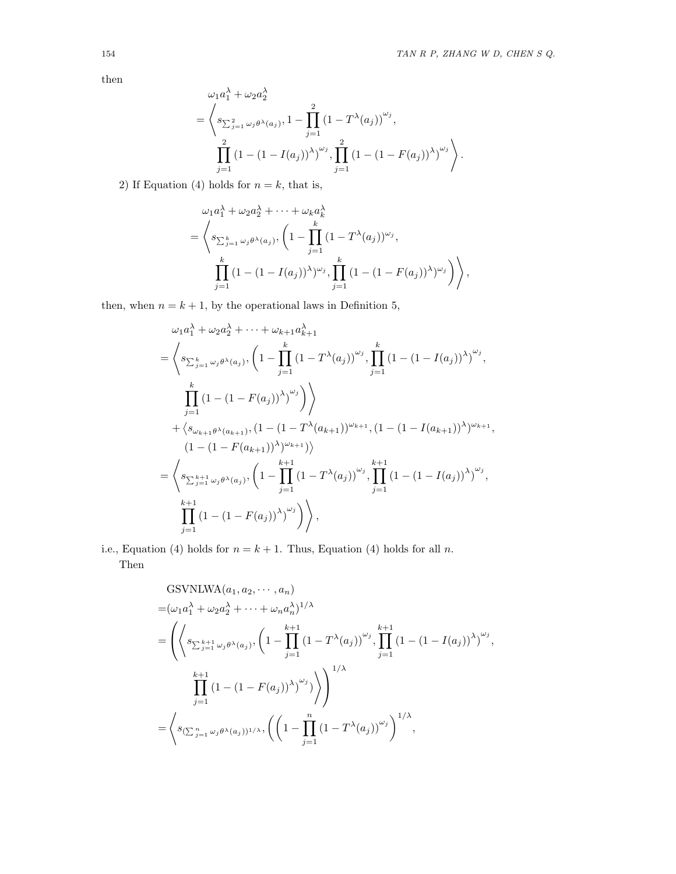then

$$
\omega_1 a_1^{\lambda} + \omega_2 a_2^{\lambda}
$$
\n
$$
= \left\langle s_{\sum_{j=1}^2 \omega_j \theta^{\lambda}(a_j)}, 1 - \prod_{j=1}^2 (1 - T^{\lambda}(a_j))^{\omega_j}, \prod_{j=1}^2 (1 - (1 - I(a_j))^{\lambda})^{\omega_j} \right\rangle.
$$
\n
$$
\sum_{j=1}^2 (1 - (1 - I(a_j))^{\lambda})^{\omega_j}, \prod_{j=1}^2 (1 - (1 - F(a_j))^{\lambda})^{\omega_j} \right\rangle.
$$

2) If Equation (4) holds for  $n = k$ , that is,

$$
\omega_1 a_1^{\lambda} + \omega_2 a_2^{\lambda} + \dots + \omega_k a_k^{\lambda}
$$
  
=  $\left\langle s_{\sum_{j=1}^k \omega_j \theta^{\lambda}(a_j)}, \left(1 - \prod_{j=1}^k (1 - T^{\lambda}(a_j))^{\omega_j}, \prod_{j=1}^k (1 - (1 - I(a_j))^{\lambda})^{\omega_j}\right)\right\rangle,$   

$$
\prod_{j=1}^k (1 - (1 - I(a_j))^{\lambda})^{\omega_j}, \prod_{j=1}^k (1 - (1 - F(a_j))^{\lambda})^{\omega_j}\right\rangle,
$$

then, when  $n = k + 1$ , by the operational laws in Definition 5,

$$
\omega_{1}a_{1}^{\lambda} + \omega_{2}a_{2}^{\lambda} + \cdots + \omega_{k+1}a_{k+1}^{\lambda}
$$
\n
$$
= \left\langle s_{\sum_{j=1}^{k} \omega_{j}\theta^{\lambda}(a_{j})}, \left(1 - \prod_{j=1}^{k} (1 - T^{\lambda}(a_{j}))^{\omega_{j}}, \prod_{j=1}^{k} (1 - (1 - I(a_{j}))^{\lambda})^{\omega_{j}}, \prod_{j=1}^{k} (1 - (1 - F(a_{j}))^{\lambda})^{\omega_{j}}\right)\right\rangle
$$
\n
$$
+ \left\langle s_{\omega_{k+1}\theta^{\lambda}(a_{k+1})}, (1 - (1 - T^{\lambda}(a_{k+1}))^{\omega_{k+1}}, (1 - (1 - I(a_{k+1}))^{\lambda})^{\omega_{k+1}}, (1 - (1 - I(a_{k+1}))^{\lambda})^{\omega_{k+1}}, \prod_{j=1}^{k+1} (1 - (1 - F(a_{j}))^{\lambda})^{\omega_{j}}, \prod_{j=1}^{k+1} (1 - (1 - F(a_{j}))^{\lambda})^{\omega_{j}}, \prod_{j=1}^{k+1} (1 - (1 - F(a_{j}))^{\lambda})^{\omega_{j}}\right\rangle,
$$

i.e., Equation (4) holds for  $n = k + 1$ . Thus, Equation (4) holds for all n. Then

GSVNLWA
$$
(a_1, a_2, \dots, a_n)
$$
  
\n
$$
= (\omega_1 a_1^{\lambda} + \omega_2 a_2^{\lambda} + \dots + \omega_n a_n^{\lambda})^{1/\lambda}
$$
\n
$$
= \left( \left\langle s_{\sum_{j=1}^{k+1} \omega_j \theta^{\lambda}(a_j)}, \left(1 - \prod_{j=1}^{k+1} (1 - T^{\lambda}(a_j))^{\omega_j}, \prod_{j=1}^{k+1} (1 - (1 - I(a_j))^{\lambda})^{\omega_j}, \prod_{j=1}^{k+1} (1 - (1 - F(a_j))^{\lambda})^{\omega_j} \right) \right\rangle^{1/\lambda}
$$
\n
$$
= \left\langle s_{(\sum_{j=1}^{n} \omega_j \theta^{\lambda}(a_j))^{1/\lambda}}, \left( \left(1 - \prod_{j=1}^{n} (1 - T^{\lambda}(a_j))^{\omega_j} \right)^{1/\lambda}, \right. \right)
$$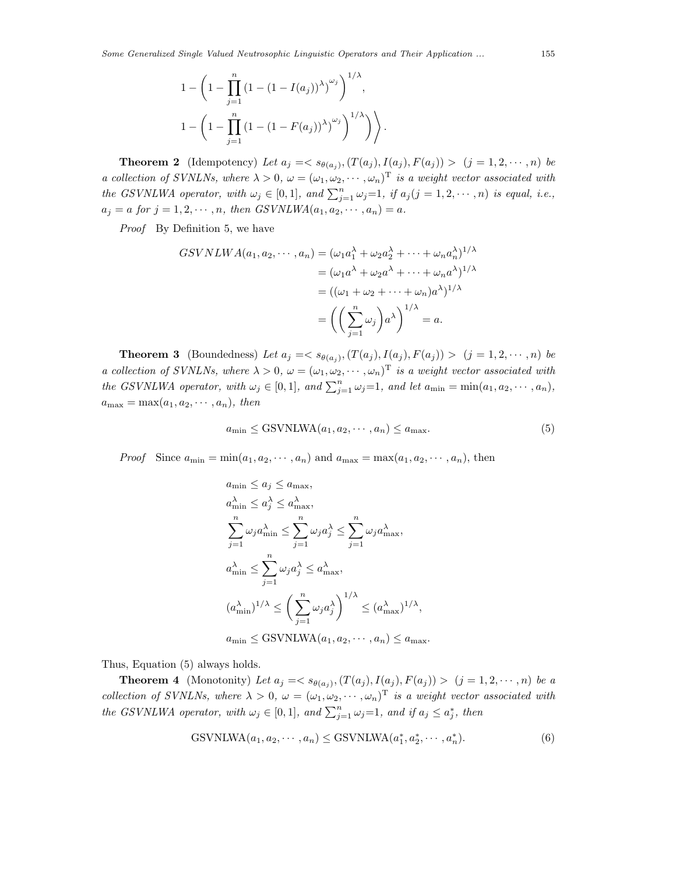$$
1 - \left(1 - \prod_{j=1}^{n} (1 - (1 - I(a_j))^{\lambda})^{\omega_j}\right)^{1/\lambda},
$$
  

$$
1 - \left(1 - \prod_{j=1}^{n} (1 - (1 - F(a_j))^{\lambda})^{\omega_j}\right)^{1/\lambda})
$$

**Theorem 2** (Idempotency) Let  $a_j = \langle s_{\theta(a_j)}, (T(a_j), I(a_j), F(a_j)) \rangle$  (j = 1, 2,  $\dots$ , n) be *a collection of SVNLNs, where*  $\lambda > 0$ ,  $\omega = (\omega_1, \omega_2, \cdots, \omega_n)^T$  *is a weight vector associated with the GSVNLWA operator, with*  $\omega_j \in [0, 1]$ *, and*  $\sum_{j=1}^n \omega_j = 1$ *, if*  $a_j (j = 1, 2, \dots, n)$  *is equal, i.e.,*  $a_j = a \text{ for } j = 1, 2, \cdots, n, \text{ then } GSVNLWA(a_1, a_2, \cdots, a_n) = a.$ 

*Proof* By Definition 5, we have

$$
GSVNLWA(a_1, a_2, \cdots, a_n) = (\omega_1 a_1^{\lambda} + \omega_2 a_2^{\lambda} + \cdots + \omega_n a_n^{\lambda})^{1/\lambda}
$$
  
=  $(\omega_1 a^{\lambda} + \omega_2 a^{\lambda} + \cdots + \omega_n a^{\lambda})^{1/\lambda}$   
=  $((\omega_1 + \omega_2 + \cdots + \omega_n)a^{\lambda})^{1/\lambda}$   
=  $\left(\left(\sum_{j=1}^n \omega_j\right)a^{\lambda}\right)^{1/\lambda} = a.$ 

**Theorem 3** (Boundedness) Let  $a_j = \langle s_{\theta(a_j)}, (T(a_j), I(a_j), F(a_j)) \rangle$   $(j = 1, 2, \dots, n)$  be *a collection of SVNLNs, where*  $\lambda > 0$ ,  $\omega = (\omega_1, \omega_2, \cdots, \omega_n)^T$  *is a weight vector associated with the GSVNLWA operator, with*  $\omega_j \in [0, 1]$ *, and*  $\sum_{j=1}^n \omega_j = 1$ *, and let*  $a_{\min} = \min(a_1, a_2, \dots, a_n)$ *,*  $a_{\text{max}} = \max(a_1, a_2, \cdots, a_n), \text{ then}$ 

$$
a_{\min} \le \text{GSVNLWA}(a_1, a_2, \cdots, a_n) \le a_{\max}.\tag{5}
$$

*Proof* Since  $a_{\min} = \min(a_1, a_2, \cdots, a_n)$  and  $a_{\max} = \max(a_1, a_2, \cdots, a_n)$ , then

$$
a_{\min} \le a_j \le a_{\max},
$$
  
\n
$$
a_{\min}^{\lambda} \le a_j^{\lambda} \le a_{\max}^{\lambda},
$$
  
\n
$$
\sum_{j=1}^n \omega_j a_{\min}^{\lambda} \le \sum_{j=1}^n \omega_j a_j^{\lambda} \le \sum_{j=1}^n \omega_j a_{\max}^{\lambda},
$$
  
\n
$$
a_{\min}^{\lambda} \le \sum_{j=1}^n \omega_j a_j^{\lambda} \le a_{\max}^{\lambda},
$$
  
\n
$$
(a_{\min}^{\lambda})^{1/\lambda} \le \left(\sum_{j=1}^n \omega_j a_j^{\lambda}\right)^{1/\lambda} \le (a_{\max}^{\lambda})^{1/\lambda},
$$
  
\n
$$
a_{\min} \le \text{GSVNLWA}(a_1, a_2, \dots, a_n) \le a_{\max}.
$$

Thus, Equation (5) always holds.

**Theorem 4** (Monotonity) Let  $a_j = \langle s_{\theta(a_j)}, (T(a_j), I(a_j), F(a_j)) \rangle$   $(j = 1, 2, \dots, n)$  be a *collection of SVNLNs, where*  $\lambda > 0$ ,  $\omega = (\omega_1, \omega_2, \cdots, \omega_n)^T$  *is a weight vector associated with the GSVNLWA operator, with*  $\omega_j \in [0,1]$ *, and*  $\sum_{j=1}^n \omega_j = 1$ *, and if*  $a_j \leq a_j^*$ *, then* 

$$
GSVNLWA(a_1, a_2, \cdots, a_n) \leq GSVNLWA(a_1^*, a_2^*, \cdots, a_n^*).
$$
\n
$$
(6)
$$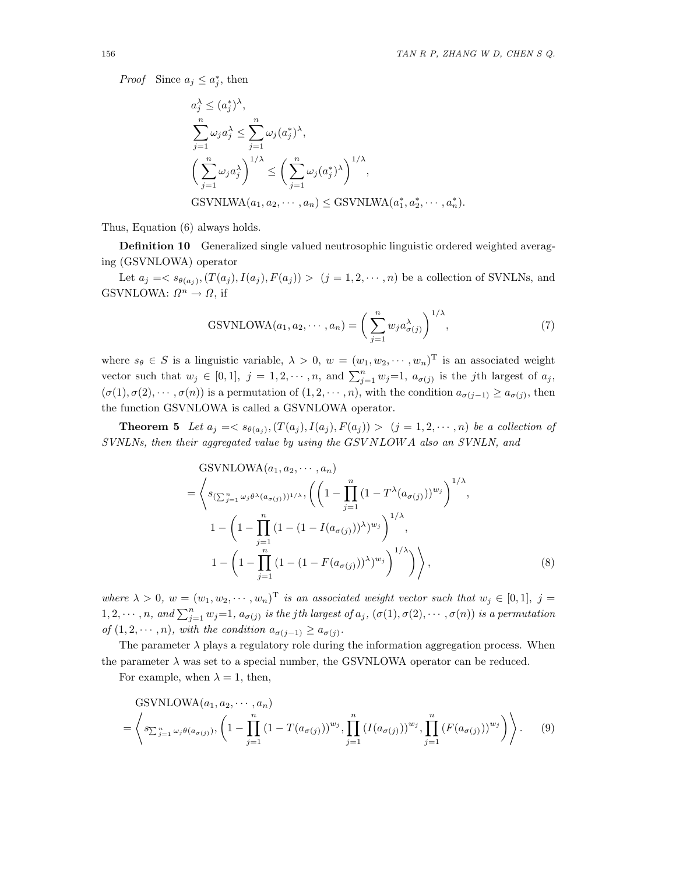*Proof* Since  $a_j \leq a_j^*$ , then

$$
a_j^{\lambda} \le (a_j^*)^{\lambda},
$$
  
\n
$$
\sum_{j=1}^n \omega_j a_j^{\lambda} \le \sum_{j=1}^n \omega_j (a_j^*)^{\lambda},
$$
  
\n
$$
\left(\sum_{j=1}^n \omega_j a_j^{\lambda}\right)^{1/\lambda} \le \left(\sum_{j=1}^n \omega_j (a_j^*)^{\lambda}\right)^{1/\lambda},
$$
  
\nGSVNLWA $(a_1, a_2, \dots, a_n) \le$ GSVNLWA $(a_1^*, a_2^*, \dots, a_n^*).$ 

Thus, Equation (6) always holds.

**Definition 10** Generalized single valued neutrosophic linguistic ordered weighted averaging (GSVNLOWA) operator

Let  $a_j = \langle s_{\theta(a_j)},(T(a_j), I(a_j), F(a_j)) \rangle$   $(j = 1, 2, \dots, n)$  be a collection of SVNLNs, and GSVNLOWA:  $\Omega^n \to \Omega$ , if

GSVNLOWA
$$
(a_1, a_2, \cdots, a_n)
$$
 =  $\left(\sum_{j=1}^n w_j a_{\sigma(j)}^{\lambda}\right)^{1/\lambda}$ , (7)

where  $s_{\theta} \in S$  is a linguistic variable,  $\lambda > 0$ ,  $w = (w_1, w_2, \dots, w_n)$ <sup>T</sup> is an associated weight vector such that  $w_j \in [0,1], j = 1, 2, \dots, n$ , and  $\sum_{j=1}^n w_j = 1$ ,  $a_{\sigma(j)}$  is the j<sup>th</sup> largest of  $a_j$ ,  $(\sigma(1), \sigma(2), \cdots, \sigma(n))$  is a permutation of  $(1, 2, \cdots, n)$ , with the condition  $a_{\sigma(j-1)} \ge a_{\sigma(j)}$ , then the function GSVNLOWA is called a GSVNLOWA operator.

**Theorem 5** Let  $a_j = \langle s_{\theta(a_j)}, (T(a_j), I(a_j), F(a_j)) \rangle$   $(j = 1, 2, \dots, n)$  be a collection of *SVNLNs, then their aggregated value by using the* GSV NLOW A *also an SVNLN, and*

$$
\begin{split} \n\text{GSVNLOWA}(a_1, a_2, \cdots, a_n) \\ \n&= \left\langle s_{\left(\sum_{j=1}^n \omega_j \theta^\lambda (a_{\sigma(j)})\right)^{1/\lambda}}, \left( \left(1 - \prod_{j=1}^n \left(1 - T^\lambda (a_{\sigma(j)})\right)^{w_j}\right)^{1/\lambda}, \right. \\ \n&1 - \left(1 - \prod_{j=1}^n \left(1 - \left(1 - I(a_{\sigma(j)})\right)^\lambda\right)^{w_j}\right)^{1/\lambda}, \n\end{split}
$$
\n
$$
1 - \left(1 - \prod_{j=1}^n \left(1 - \left(1 - F(a_{\sigma(j)})\right)^\lambda\right)^{w_j}\right)^{1/\lambda}\right), \tag{8}
$$

*where*  $\lambda > 0$ ,  $w = (w_1, w_2, \dots, w_n)^T$  *is an associated weight vector such that*  $w_j \in [0,1], j =$  $1, 2, \dots, n$ , and  $\sum_{j=1}^{n} w_j = 1$ ,  $a_{\sigma(j)}$  *is the jth largest of*  $a_j$ ,  $(\sigma(1), \sigma(2), \dots, \sigma(n))$  *is a permutation of*  $(1, 2, \dots, n)$ *, with the condition*  $a_{\sigma(i-1)} \ge a_{\sigma(i)}$ *.* 

The parameter  $\lambda$  plays a regulatory role during the information aggregation process. When the parameter  $\lambda$  was set to a special number, the GSVNLOWA operator can be reduced.

For example, when  $\lambda = 1$ , then,

GSVNLOWA
$$
(a_1, a_2, \dots, a_n)
$$
  
=  $\left\langle s_{\sum_{j=1}^n \omega_j \theta(a_{\sigma(j)})}, \left(1 - \prod_{j=1}^n (1 - T(a_{\sigma(j)}))^{w_j}, \prod_{j=1}^n (I(a_{\sigma(j)}))^{w_j}, \prod_{j=1}^n (F(a_{\sigma(j)}))^{w_j}\right)\right\rangle.$  (9)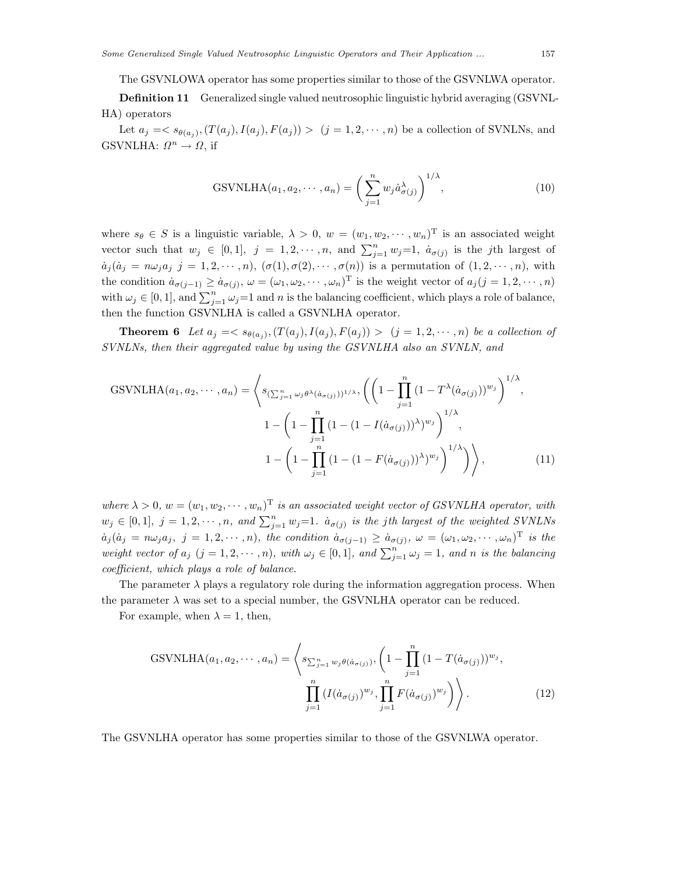The GSVNLOWA operator has some properties similar to those of the GSVNLWA operator.

**Definition 11** Generalized single valued neutrosophic linguistic hybrid averaging (GSVNL-HA) operators

Let  $a_j = \langle s_{\theta(a_j)},(T(a_j), I(a_j), F(a_j)) \rangle$   $(j = 1, 2, \dots, n)$  be a collection of SVNLNs, and GSVNLHA:  $\Omega^n \to \Omega$ , if

GSVNLHA
$$
(a_1, a_2, \cdots, a_n) = \left(\sum_{j=1}^n w_j \dot{a}_{\sigma(j)}^{\lambda}\right)^{1/\lambda},
$$
 (10)

where  $s_{\theta} \in S$  is a linguistic variable,  $\lambda > 0$ ,  $w = (w_1, w_2, \dots, w_n)$ <sup>T</sup> is an associated weight vector such that  $w_j \in [0,1], j = 1,2,\dots, n$ , and  $\sum_{j=1}^n w_j = 1$ ,  $\dot{a}_{\sigma(j)}$  is the j<sup>th</sup> largest of  $a_j (a_j = n \omega_j a_j j = 1, 2, \cdots, n), (\sigma(1), \sigma(2), \cdots, \sigma(n))$  is a permutation of  $(1, 2, \cdots, n)$ , with the condition  $\dot{a}_{\sigma(j-1)} \geq \dot{a}_{\sigma(j)}, \omega = (\omega_1, \omega_2, \cdots, \omega_n)^T$  is the weight vector of  $a_j (j = 1, 2, \cdots, n)$ with  $\omega_j \in [0, 1]$ , and  $\sum_{j=1}^n \omega_j = 1$  and n is the balancing coefficient, which plays a role of balance, then the function GSVNLHA is called a GSVNLHA operator.

**Theorem 6** Let  $a_j = \langle s_{\theta(a_j)}, (T(a_j), I(a_j), F(a_j)) \rangle$   $(j = 1, 2, \dots, n)$  be a collection of *SVNLNs, then their aggregated value by using the GSVNLHA also an SVNLN, and*

GSVNLHA
$$
(a_1, a_2, \dots, a_n)
$$
 =  $\left\langle s_{\left(\sum_{j=1}^n \omega_j \theta^\lambda(\dot{a}_{\sigma(j)})\right)^{1/\lambda}}, \left(\left(1 - \prod_{j=1}^n (1 - T^\lambda(\dot{a}_{\sigma(j)}))^{w_j}\right)^{1/\lambda}, 1 - \left(1 - \prod_{j=1}^n (1 - (1 - I(\dot{a}_{\sigma(j)}))^{\lambda})^{w_j}\right)^{1/\lambda}, 1 - \left(1 - \prod_{j=1}^n (1 - (1 - F(\dot{a}_{\sigma(j)}))^{\lambda})^{w_j}\right)^{1/\lambda}\right)\right\rangle,$  (11)

*where*  $\lambda > 0$ ,  $w = (w_1, w_2, \dots, w_n)^T$  *is an associated weight vector of GSVNLHA operator, with*  $w_j \in [0, 1], j = 1, 2, \cdots, n, \text{ and } \sum_{j=1}^n w_j = 1.$   $\dot{a}_{\sigma(j)}$  *is the jth largest of the weighted SVNLNs*  $a_j (a_j = n \omega_j a_j, j = 1, 2, \cdots, n)$ , the condition  $a_{\sigma(j-1)} \geq a_{\sigma(j)}, \omega = (\omega_1, \omega_2, \cdots, \omega_n)^T$  is the *weight vector of*  $a_j$   $(j = 1, 2, \dots, n)$ *, with*  $\omega_j \in [0, 1]$ *, and*  $\sum_{j=1}^n \omega_j = 1$ *, and n is the balancing coefficient, which plays a role of balance.*

The parameter  $\lambda$  plays a regulatory role during the information aggregation process. When the parameter  $\lambda$  was set to a special number, the GSVNLHA operator can be reduced.

For example, when  $\lambda = 1$ , then,

GSVNLHA
$$
(a_1, a_2, \dots, a_n)
$$
 =  $\left\langle s_{\sum_{j=1}^n w_j \theta(\dot{a}_{\sigma(j)})}, \left(1 - \prod_{j=1}^n (1 - T(\dot{a}_{\sigma(j)}))^{w_j}, \prod_{j=1}^n (I(\dot{a}_{\sigma(j)})^{w_j}, \prod_{j=1}^n F(\dot{a}_{\sigma(j)})^{w_j}\right)\right\rangle.$  (12)

The GSVNLHA operator has some properties similar to those of the GSVNLWA operator.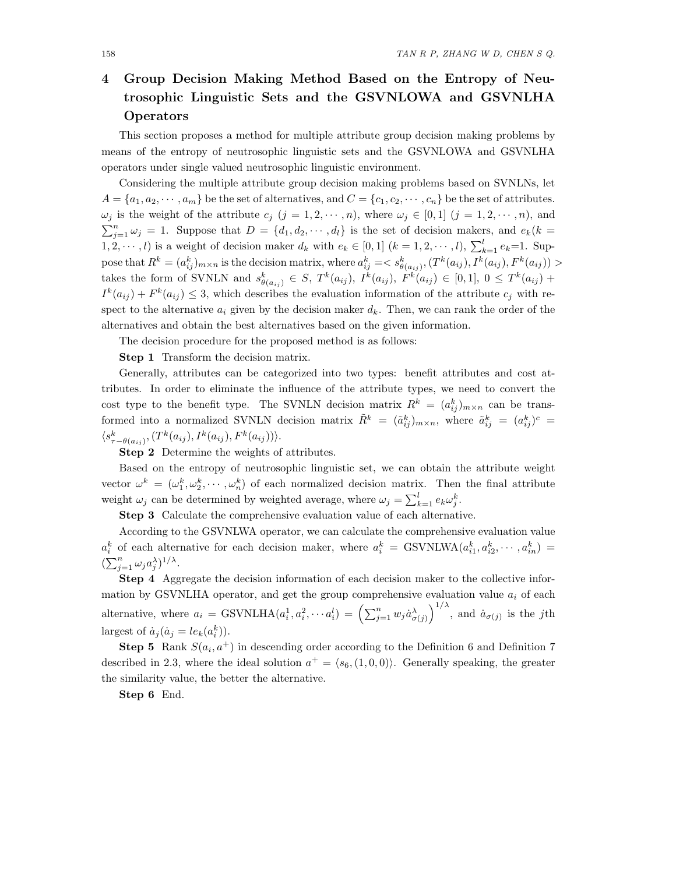# **4 Group Decision Making Method Based on the Entropy of Neutrosophic Linguistic Sets and the GSVNLOWA and GSVNLHA Operators**

This section proposes a method for multiple attribute group decision making problems by means of the entropy of neutrosophic linguistic sets and the GSVNLOWA and GSVNLHA operators under single valued neutrosophic linguistic environment.

Considering the multiple attribute group decision making problems based on SVNLNs, let  $A = \{a_1, a_2, \dots, a_m\}$  be the set of alternatives, and  $C = \{c_1, c_2, \dots, c_n\}$  be the set of attributes.  $\omega_j$  is the weight of the attribute  $c_j$   $(j = 1, 2, \dots, n)$ , where  $\omega_j \in [0, 1]$   $(j = 1, 2, \dots, n)$ , and  $\sum_{j=1}^{n} \omega_j = 1$ . Suppose that  $D = \{d_1, d_2, \cdots, d_l\}$  is the set of decision makers, and  $e_k(k)$  $(1, 2, \dots, l)$  is a weight of decision maker  $d_k$  with  $e_k \in [0, 1]$   $(k = 1, 2, \dots, l)$ ,  $\sum_{k=1}^{l} e_k = 1$ . Suppose that  $R^k = (a_{ij}^k)_{m \times n}$  is the decision matrix, where  $a_{ij}^k = \langle s_{\theta(a_{ij})}^k, (T^k(a_{ij}), I^k(a_{ij}), F^k(a_{ij})) \rangle$ takes the form of SVNLN and  $s_{\theta(a_{ij})}^k \in S$ ,  $T^k(a_{ij})$ ,  $I^k(a_{ij})$ ,  $F^k(a_{ij}) \in [0,1]$ ,  $0 \leq T^k(a_{ij}) +$  $I^k(a_{ij}) + F^k(a_{ij}) \leq 3$ , which describes the evaluation information of the attribute  $c_j$  with respect to the alternative  $a_i$  given by the decision maker  $d_k$ . Then, we can rank the order of the alternatives and obtain the best alternatives based on the given information.

The decision procedure for the proposed method is as follows:

**Step 1** Transform the decision matrix.

Generally, attributes can be categorized into two types: benefit attributes and cost attributes. In order to eliminate the influence of the attribute types, we need to convert the cost type to the benefit type. The SVNLN decision matrix  $R^k = (a_{ij}^k)_{m \times n}$  can be transformed into a normalized SVNLN decision matrix  $\tilde{R}^k = (\tilde{a}_{ij}^k)_{m \times n}$ , where  $\tilde{a}_{ij}^k = (a_{ij}^k)^c =$  $\langle s_{\tau-\theta(a_{ij})}^k, (T^k(a_{ij}), I^k(a_{ij}), F^k(a_{ij})) \rangle.$ 

**Step 2** Determine the weights of attributes.

Based on the entropy of neutrosophic linguistic set, we can obtain the attribute weight vector  $\omega^k = (\omega_1^k, \omega_2^k, \cdots, \omega_n^k)$  of each normalized decision matrix. Then the final attribute weight  $\omega_j$  can be determined by weighted average, where  $\omega_j = \sum_{k=1}^l e_k \omega_j^k$ .

**Step 3** Calculate the comprehensive evaluation value of each alternative.

According to the GSVNLWA operator, we can calculate the comprehensive evaluation value  $a_i^k$  of each alternative for each decision maker, where  $a_i^k = \text{GSVNLWA}(a_{i1}^k, a_{i2}^k, \dots, a_{in}^k) =$  $(\sum_{j=1}^n \omega_j a_j^{\lambda})^{1/\lambda}.$ 

**Step 4** Aggregate the decision information of each decision maker to the collective information by GSVNLHA operator, and get the group comprehensive evaluation value  $a_i$  of each alternative, where  $a_i = \text{GSVNLHA}(a_i^1, a_i^2, \cdots a_i^l) = \left(\sum_{j=1}^n w_j \dot{a}_{\sigma(j)}^{\lambda}\right)^{1/\lambda}$ , and  $\dot{a}_{\sigma(j)}$  is the jth largest of  $\dot{a}_j(\dot{a}_j = le_k(a_i^k)).$ 

**Step 5** Rank  $S(a_i, a^+)$  in descending order according to the Definition 6 and Definition 7 described in 2.3, where the ideal solution  $a^+ = \langle s_6, (1, 0, 0) \rangle$ . Generally speaking, the greater the similarity value, the better the alternative.

**Step 6** End.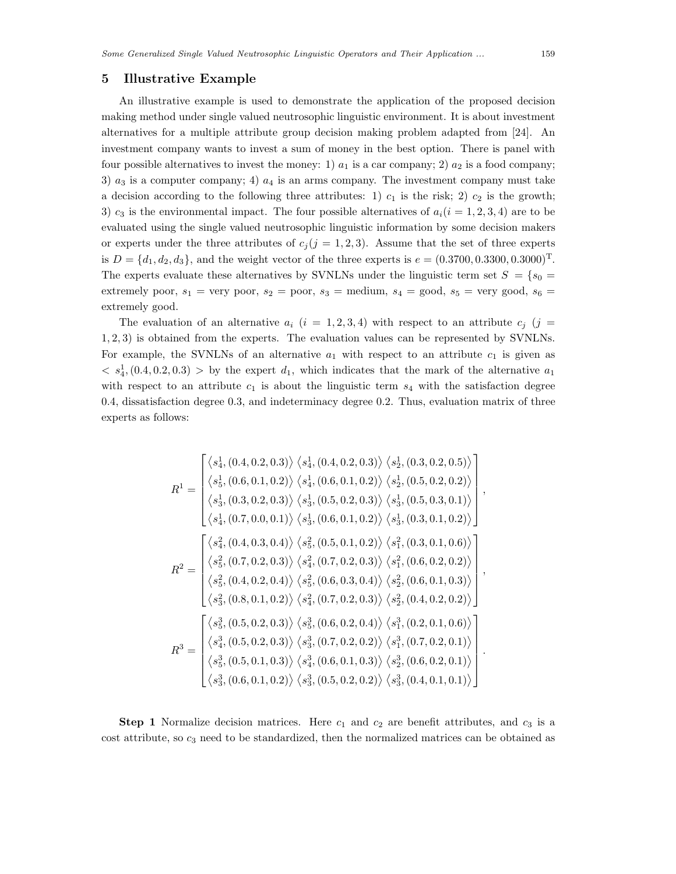# **5 Illustrative Example**

An illustrative example is used to demonstrate the application of the proposed decision making method under single valued neutrosophic linguistic environment. It is about investment alternatives for a multiple attribute group decision making problem adapted from [24]. An investment company wants to invest a sum of money in the best option. There is panel with four possible alternatives to invest the money: 1)  $a_1$  is a car company; 2)  $a_2$  is a food company; 3)  $a_3$  is a computer company; 4)  $a_4$  is an arms company. The investment company must take a decision according to the following three attributes: 1)  $c_1$  is the risk; 2)  $c_2$  is the growth; 3)  $c_3$  is the environmental impact. The four possible alternatives of  $a_i(i = 1, 2, 3, 4)$  are to be evaluated using the single valued neutrosophic linguistic information by some decision makers or experts under the three attributes of  $c_i (j = 1, 2, 3)$ . Assume that the set of three experts is  $D = \{d_1, d_2, d_3\}$ , and the weight vector of the three experts is  $e = (0.3700, 0.3300, 0.3000)^T$ . The experts evaluate these alternatives by SVNLNs under the linguistic term set  $S = \{s_0 =$ extremely poor,  $s_1$  = very poor,  $s_2$  = poor,  $s_3$  = medium,  $s_4$  = good,  $s_5$  = very good,  $s_6$  = extremely good.

The evaluation of an alternative  $a_i$  ( $i = 1, 2, 3, 4$ ) with respect to an attribute  $c_j$  ( $j =$ 1, 2, 3) is obtained from the experts. The evaluation values can be represented by SVNLNs. For example, the SVNLNs of an alternative  $a_1$  with respect to an attribute  $c_1$  is given as  $\langle s_4^1, (0.4, 0.2, 0.3) \rangle$  by the expert  $d_1$ , which indicates that the mark of the alternative  $a_1$ with respect to an attribute  $c_1$  is about the linguistic term  $s_4$  with the satisfaction degree 0.4, dissatisfaction degree 0.3, and indeterminacy degree 0.2. Thus, evaluation matrix of three experts as follows:

$$
R^{1} = \begin{bmatrix} \langle s_{4}^{1}, (0.4, 0.2, 0.3) \rangle & \langle s_{4}^{1}, (0.4, 0.2, 0.3) \rangle & \langle s_{2}^{1}, (0.3, 0.2, 0.5) \rangle \\ \langle s_{5}^{1}, (0.6, 0.1, 0.2) \rangle & \langle s_{4}^{1}, (0.6, 0.1, 0.2) \rangle & \langle s_{2}^{1}, (0.5, 0.2, 0.2) \rangle \\ \langle s_{3}^{1}, (0.3, 0.2, 0.3) \rangle & \langle s_{3}^{1}, (0.5, 0.2, 0.3) \rangle & \langle s_{3}^{1}, (0.5, 0.3, 0.1) \rangle \\ \langle s_{4}^{1}, (0.7, 0.0, 0.1) \rangle & \langle s_{3}^{1}, (0.6, 0.1, 0.2) \rangle & \langle s_{3}^{1}, (0.3, 0.1, 0.2) \rangle \\ \langle s_{4}^{2}, (0.4, 0.3, 0.4) \rangle & \langle s_{5}^{2}, (0.5, 0.1, 0.2) \rangle & \langle s_{1}^{2}, (0.3, 0.1, 0.6) \rangle \\ \langle s_{5}^{2}, (0.7, 0.2, 0.3) \rangle & \langle s_{4}^{2}, (0.7, 0.2, 0.3) \rangle & \langle s_{1}^{2}, (0.6, 0.2, 0.2) \rangle \\ \langle s_{5}^{2}, (0.4, 0.2, 0.4) \rangle & \langle s_{5}^{2}, (0.6, 0.3, 0.4) \rangle & \langle s_{2}^{2}, (0.6, 0.1, 0.3) \rangle \\ \langle s_{3}^{2}, (0.8, 0.1, 0.2) \rangle & \langle s_{4}^{2}, (0.7, 0.2, 0.3) \rangle & \langle s_{2}^{2}, (0.4, 0.2, 0.2) \rangle \\ \langle s_{4}^{3}, (0.5, 0.2, 0.3) \rangle & \langle s_{3}^{3}, (0.6, 0.2, 0.4) \rangle & \langle s_{1}^{3}, (0.2, 0.1, 0.6) \rangle \\ \langle s_{4}^{3}, (0.5, 0.2,
$$

**Step 1** Normalize decision matrices. Here  $c_1$  and  $c_2$  are benefit attributes, and  $c_3$  is a  $\cot$  attribute, so  $c_3$  need to be standardized, then the normalized matrices can be obtained as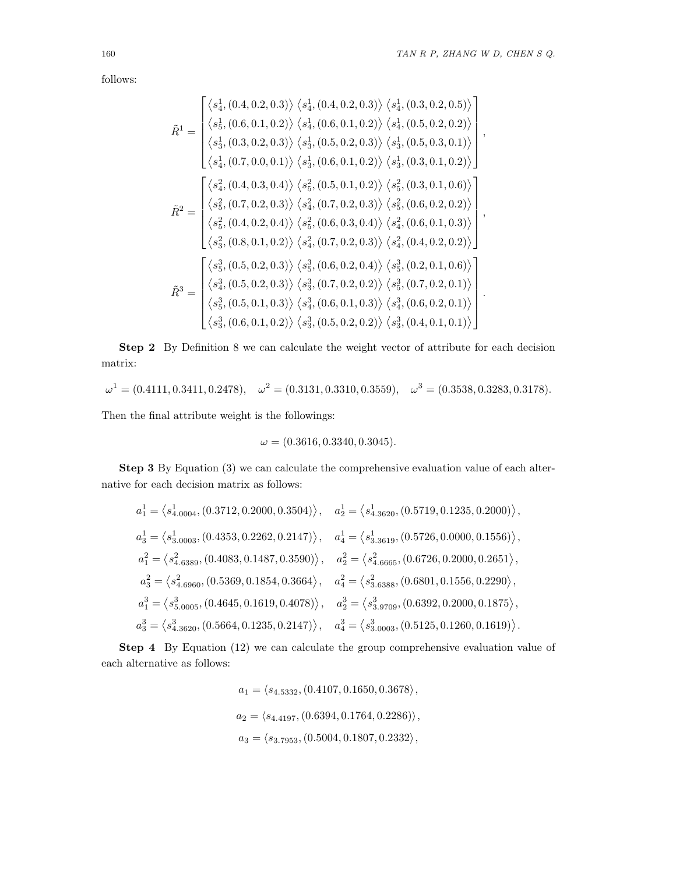follows:

$$
\tilde{R}^{1} = \begin{bmatrix}\n\langle s_{4}^{1}, (0.4, 0.2, 0.3) \rangle & \langle s_{4}^{1}, (0.4, 0.2, 0.3) \rangle & \langle s_{4}^{1}, (0.3, 0.2, 0.5) \rangle \\
\langle s_{5}^{1}, (0.6, 0.1, 0.2) \rangle & \langle s_{4}^{1}, (0.6, 0.1, 0.2) \rangle & \langle s_{4}^{1}, (0.5, 0.2, 0.2) \rangle \\
\langle s_{3}^{1}, (0.3, 0.2, 0.3) \rangle & \langle s_{3}^{1}, (0.5, 0.2, 0.3) \rangle & \langle s_{3}^{1}, (0.5, 0.3, 0.1) \rangle \\
\langle s_{4}^{1}, (0.7, 0.0, 0.1) \rangle & \langle s_{3}^{1}, (0.6, 0.1, 0.2) \rangle & \langle s_{3}^{1}, (0.3, 0.1, 0.2) \rangle \\
\langle s_{4}^{2}, (0.4, 0.3, 0.4) \rangle & \langle s_{5}^{2}, (0.5, 0.1, 0.2) \rangle & \langle s_{5}^{2}, (0.3, 0.1, 0.6) \rangle \\
\langle s_{5}^{2}, (0.7, 0.2, 0.3) \rangle & \langle s_{4}^{2}, (0.7, 0.2, 0.3) \rangle & \langle s_{5}^{2}, (0.6, 0.2, 0.2) \rangle \\
\langle s_{5}^{2}, (0.4, 0.2, 0.4) \rangle & \langle s_{5}^{2}, (0.6, 0.3, 0.4) \rangle & \langle s_{4}^{2}, (0.6, 0.1, 0.3) \rangle \\
\langle s_{3}^{2}, (0.8, 0.1, 0.2) \rangle & \langle s_{4}^{2}, (0.7, 0.2, 0.3) \rangle & \langle s_{4}^{2}, (0.4, 0.2, 0.2) \rangle \\
\langle s_{4}^{3}, (0.5, 0.2, 0.3) \rangle & \langle s_{5}^{3}, (0.6, 0.2, 0.4) \rangle & \langle s_{5}^{3}, (0.2, 0.1, 0.6) \rangle \\
\langle s_{4}^{3}, (0.5,
$$

**Step 2** By Definition 8 we can calculate the weight vector of attribute for each decision matrix:

$$
\omega^1 = (0.4111, 0.3411, 0.2478), \quad \omega^2 = (0.3131, 0.3310, 0.3559), \quad \omega^3 = (0.3538, 0.3283, 0.3178).
$$

Then the final attribute weight is the followings:

$$
\omega = (0.3616, 0.3340, 0.3045).
$$

**Step 3** By Equation (3) we can calculate the comprehensive evaluation value of each alternative for each decision matrix as follows:

$$
a_1^1 = \langle s_{4.0004}^1, (0.3712, 0.2000, 0.3504) \rangle, \quad a_2^1 = \langle s_{4.3620}^1, (0.5719, 0.1235, 0.2000) \rangle,
$$
  
\n
$$
a_3^1 = \langle s_{3.0003}^1, (0.4353, 0.2262, 0.2147) \rangle, \quad a_4^1 = \langle s_{3.3619}^1, (0.5726, 0.0000, 0.1556) \rangle,
$$
  
\n
$$
a_1^2 = \langle s_{4.6389}^2, (0.4083, 0.1487, 0.3590) \rangle, \quad a_2^2 = \langle s_{4.6665}^2, (0.6726, 0.2000, 0.2651) \rangle,
$$
  
\n
$$
a_3^2 = \langle s_{4.6960}^2, (0.5369, 0.1854, 0.3664) \rangle, \quad a_4^2 = \langle s_{3.6388}^2, (0.6801, 0.1556, 0.2290) \rangle,
$$
  
\n
$$
a_1^3 = \langle s_{5.0005}^3, (0.4645, 0.1619, 0.4078) \rangle, \quad a_2^3 = \langle s_{3.9709}^3, (0.6392, 0.2000, 0.1875) \rangle,
$$
  
\n
$$
a_3^3 = \langle s_{4.3620}^3, (0.5664, 0.1235, 0.2147) \rangle, \quad a_4^3 = \langle s_{3.0003}^3, (0.5125, 0.1260, 0.1619) \rangle.
$$

**Step 4** By Equation (12) we can calculate the group comprehensive evaluation value of each alternative as follows:

$$
a_1 = \langle s_{4.5332}, (0.4107, 0.1650, 0.3678 \rangle,
$$
  
\n
$$
a_2 = \langle s_{4.4197}, (0.6394, 0.1764, 0.2286) \rangle,
$$
  
\n
$$
a_3 = \langle s_{3.7953}, (0.5004, 0.1807, 0.2332 \rangle,
$$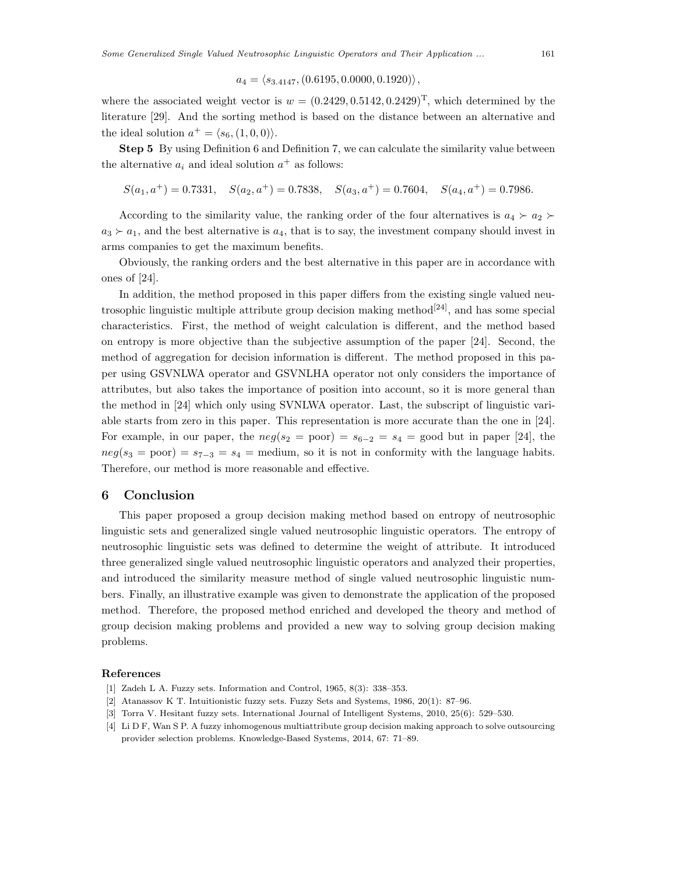## $a_4 = \langle s_{3,4147}, (0.6195, 0.0000, 0.1920) \rangle,$

where the associated weight vector is  $w = (0.2429, 0.5142, 0.2429)^T$ , which determined by the literature [29]. And the sorting method is based on the distance between an alternative and the ideal solution  $a^+ = \langle s_6, (1, 0, 0) \rangle$ .

**Step 5** By using Definition 6 and Definition 7, we can calculate the similarity value between the alternative  $a_i$  and ideal solution  $a^+$  as follows:

$$
S(a_1, a^+) = 0.7331
$$
,  $S(a_2, a^+) = 0.7838$ ,  $S(a_3, a^+) = 0.7604$ ,  $S(a_4, a^+) = 0.7986$ .

According to the similarity value, the ranking order of the four alternatives is  $a_4 \succ a_2$  $a_3 \succ a_1$ , and the best alternative is  $a_4$ , that is to say, the investment company should invest in arms companies to get the maximum benefits.

Obviously, the ranking orders and the best alternative in this paper are in accordance with ones of [24].

In addition, the method proposed in this paper differs from the existing single valued neutrosophic linguistic multiple attribute group decision making method<sup>[24]</sup>, and has some special characteristics. First, the method of weight calculation is different, and the method based on entropy is more objective than the subjective assumption of the paper [24]. Second, the method of aggregation for decision information is different. The method proposed in this paper using GSVNLWA operator and GSVNLHA operator not only considers the importance of attributes, but also takes the importance of position into account, so it is more general than the method in [24] which only using SVNLWA operator. Last, the subscript of linguistic variable starts from zero in this paper. This representation is more accurate than the one in [24]. For example, in our paper, the  $neg(s_2 = poor) = s_{6-2} = s_4 = good$  but in paper [24], the  $neg(s_3 = poor) = s_{7-3} = s_4 = medium$ , so it is not in conformity with the language habits. Therefore, our method is more reasonable and effective.

# **6 Conclusion**

This paper proposed a group decision making method based on entropy of neutrosophic linguistic sets and generalized single valued neutrosophic linguistic operators. The entropy of neutrosophic linguistic sets was defined to determine the weight of attribute. It introduced three generalized single valued neutrosophic linguistic operators and analyzed their properties, and introduced the similarity measure method of single valued neutrosophic linguistic numbers. Finally, an illustrative example was given to demonstrate the application of the proposed method. Therefore, the proposed method enriched and developed the theory and method of group decision making problems and provided a new way to solving group decision making problems.

#### **References**

- [1] Zadeh L A. Fuzzy sets. Information and Control, 1965, 8(3): 338–353.
- [2] Atanassov K T. Intuitionistic fuzzy sets. Fuzzy Sets and Systems, 1986, 20(1): 87–96.
- [3] Torra V. Hesitant fuzzy sets. International Journal of Intelligent Systems, 2010, 25(6): 529–530.
- [4] Li D F, Wan S P. A fuzzy inhomogenous multiattribute group decision making approach to solve outsourcing provider selection problems. Knowledge-Based Systems, 2014, 67: 71–89.